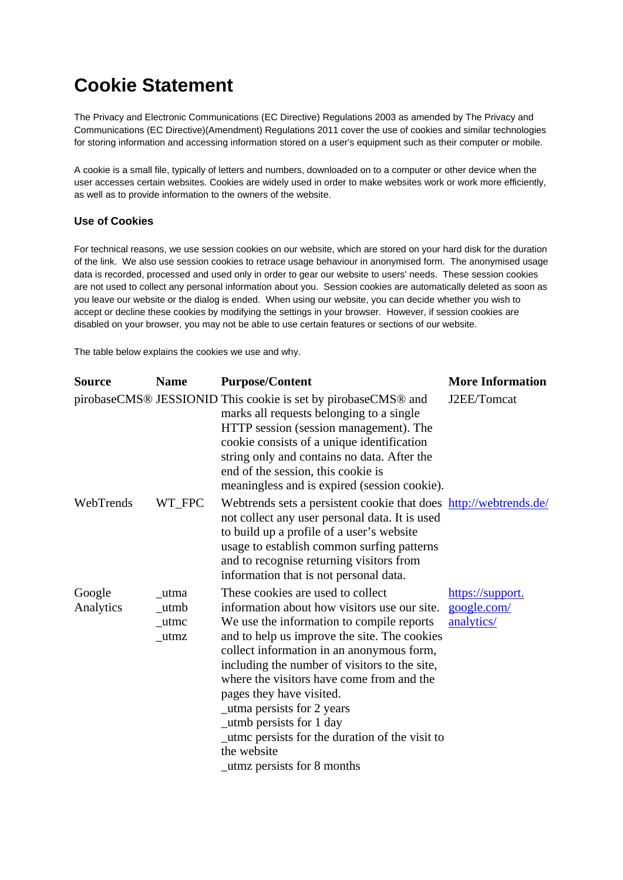## **Cookie Statement**

The Privacy and Electronic Communications (EC Directive) Regulations 2003 as amended by The Privacy and Communications (EC Directive)(Amendment) Regulations 2011 cover the use of cookies and similar technologies for storing information and accessing information stored on a user's equipment such as their computer or mobile.

A cookie is a small file, typically of letters and numbers, downloaded on to a computer or other device when the user accesses certain websites. Cookies are widely used in order to make websites work or work more efficiently, as well as to provide information to the owners of the website.

## **Use of Cookies**

For technical reasons, we use session cookies on our website, which are stored on your hard disk for the duration of the link. We also use session cookies to retrace usage behaviour in anonymised form. The anonymised usage data is recorded, processed and used only in order to gear our website to users' needs. These session cookies are not used to collect any personal information about you. Session cookies are automatically deleted as soon as you leave our website or the dialog is ended. When using our website, you can decide whether you wish to accept or decline these cookies by modifying the settings in your browser. However, if session cookies are disabled on your browser, you may not be able to use certain features or sections of our website.

The table below explains the cookies we use and why.

| <b>Source</b>       | <b>Name</b>                                            | <b>Purpose/Content</b>                                                                                                                                                                                                                                                                                                                                                                                                                                                                                           | <b>More Information</b>                       |
|---------------------|--------------------------------------------------------|------------------------------------------------------------------------------------------------------------------------------------------------------------------------------------------------------------------------------------------------------------------------------------------------------------------------------------------------------------------------------------------------------------------------------------------------------------------------------------------------------------------|-----------------------------------------------|
|                     |                                                        | pirobaseCMS® JESSIONID This cookie is set by pirobaseCMS® and<br>marks all requests belonging to a single<br>HTTP session (session management). The<br>cookie consists of a unique identification<br>string only and contains no data. After the<br>end of the session, this cookie is<br>meaningless and is expired (session cookie).                                                                                                                                                                           | J2EE/Tomcat                                   |
| WebTrends           | WT_FPC                                                 | Webtrends sets a persistent cookie that does http://webtrends.de/<br>not collect any user personal data. It is used<br>to build up a profile of a user's website<br>usage to establish common surfing patterns<br>and to recognise returning visitors from<br>information that is not personal data.                                                                                                                                                                                                             |                                               |
| Google<br>Analytics | utma<br>utmb<br>$_{\text{u$ tmc}}<br>$_{\text{u}}$ tmz | These cookies are used to collect<br>information about how visitors use our site.<br>We use the information to compile reports<br>and to help us improve the site. The cookies<br>collect information in an anonymous form,<br>including the number of visitors to the site,<br>where the visitors have come from and the<br>pages they have visited.<br>_utma persists for 2 years<br>_utmb persists for 1 day<br>_utme persists for the duration of the visit to<br>the website<br>_utmz persists for 8 months | https://support.<br>google.com/<br>analytics/ |